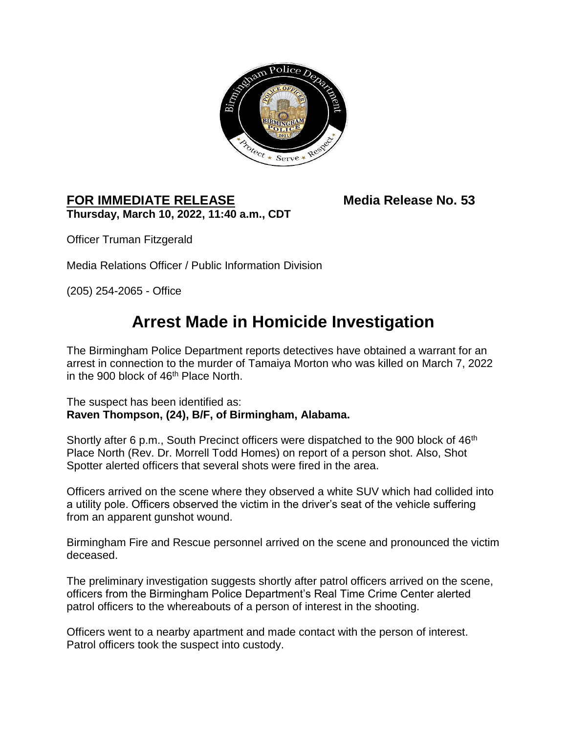

## **FOR IMMEDIATE RELEASE Media Release No. 53 Thursday, March 10, 2022, 11:40 a.m., CDT**

Officer Truman Fitzgerald

Media Relations Officer / Public Information Division

(205) 254-2065 - Office

## **Arrest Made in Homicide Investigation**

The Birmingham Police Department reports detectives have obtained a warrant for an arrest in connection to the murder of Tamaiya Morton who was killed on March 7, 2022 in the 900 block of 46<sup>th</sup> Place North.

The suspect has been identified as: **Raven Thompson, (24), B/F, of Birmingham, Alabama.** 

Shortly after 6 p.m., South Precinct officers were dispatched to the 900 block of 46<sup>th</sup> Place North (Rev. Dr. Morrell Todd Homes) on report of a person shot. Also, Shot Spotter alerted officers that several shots were fired in the area.

Officers arrived on the scene where they observed a white SUV which had collided into a utility pole. Officers observed the victim in the driver's seat of the vehicle suffering from an apparent gunshot wound.

Birmingham Fire and Rescue personnel arrived on the scene and pronounced the victim deceased.

The preliminary investigation suggests shortly after patrol officers arrived on the scene, officers from the Birmingham Police Department's Real Time Crime Center alerted patrol officers to the whereabouts of a person of interest in the shooting.

Officers went to a nearby apartment and made contact with the person of interest. Patrol officers took the suspect into custody.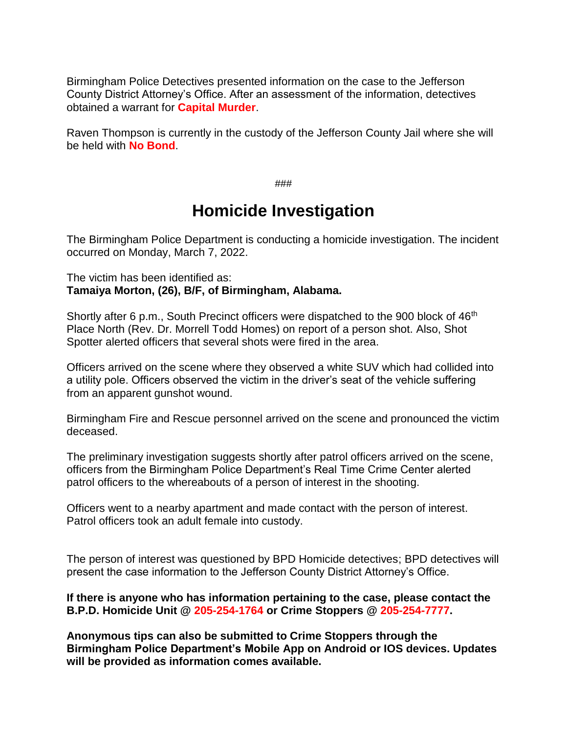Birmingham Police Detectives presented information on the case to the Jefferson County District Attorney's Office. After an assessment of the information, detectives obtained a warrant for **Capital Murder**.

Raven Thompson is currently in the custody of the Jefferson County Jail where she will be held with **No Bond**.

*###*

## **Homicide Investigation**

The Birmingham Police Department is conducting a homicide investigation. The incident occurred on Monday, March 7, 2022.

The victim has been identified as: **Tamaiya Morton, (26), B/F, of Birmingham, Alabama.**

Shortly after 6 p.m., South Precinct officers were dispatched to the 900 block of 46<sup>th</sup> Place North (Rev. Dr. Morrell Todd Homes) on report of a person shot. Also, Shot Spotter alerted officers that several shots were fired in the area.

Officers arrived on the scene where they observed a white SUV which had collided into a utility pole. Officers observed the victim in the driver's seat of the vehicle suffering from an apparent gunshot wound.

Birmingham Fire and Rescue personnel arrived on the scene and pronounced the victim deceased.

The preliminary investigation suggests shortly after patrol officers arrived on the scene, officers from the Birmingham Police Department's Real Time Crime Center alerted patrol officers to the whereabouts of a person of interest in the shooting.

Officers went to a nearby apartment and made contact with the person of interest. Patrol officers took an adult female into custody.

The person of interest was questioned by BPD Homicide detectives; BPD detectives will present the case information to the Jefferson County District Attorney's Office.

**If there is anyone who has information pertaining to the case, please contact the B.P.D. Homicide Unit @ 205-254-1764 or Crime Stoppers @ 205-254-7777.** 

**Anonymous tips can also be submitted to Crime Stoppers through the Birmingham Police Department's Mobile App on Android or IOS devices. Updates will be provided as information comes available.**